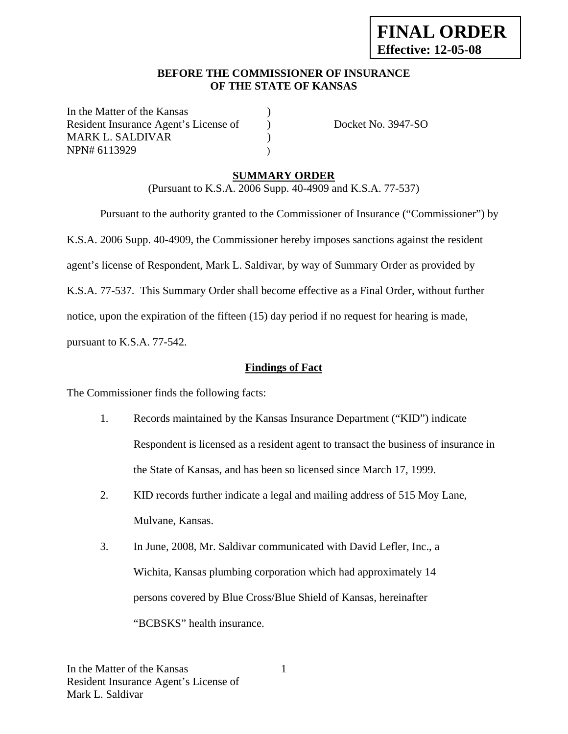### **BEFORE THE COMMISSIONER OF INSURANCE OF THE STATE OF KANSAS**

In the Matter of the Kansas Resident Insurance Agent's License of  $Docket No. 3947-SO$ MARK L. SALDIVAR (1993) NPN# 6113929 )

# **SUMMARY ORDER**

(Pursuant to K.S.A. 2006 Supp. 40-4909 and K.S.A. 77-537)

 Pursuant to the authority granted to the Commissioner of Insurance ("Commissioner") by K.S.A. 2006 Supp. 40-4909, the Commissioner hereby imposes sanctions against the resident agent's license of Respondent, Mark L. Saldivar, by way of Summary Order as provided by K.S.A. 77-537. This Summary Order shall become effective as a Final Order, without further notice, upon the expiration of the fifteen (15) day period if no request for hearing is made, pursuant to K.S.A. 77-542.

### **Findings of Fact**

The Commissioner finds the following facts:

- 1. Records maintained by the Kansas Insurance Department ("KID") indicate Respondent is licensed as a resident agent to transact the business of insurance in the State of Kansas, and has been so licensed since March 17, 1999.
- 2. KID records further indicate a legal and mailing address of 515 Moy Lane, Mulvane, Kansas.
- 3. In June, 2008, Mr. Saldivar communicated with David Lefler, Inc., a Wichita, Kansas plumbing corporation which had approximately 14 persons covered by Blue Cross/Blue Shield of Kansas, hereinafter "BCBSKS" health insurance.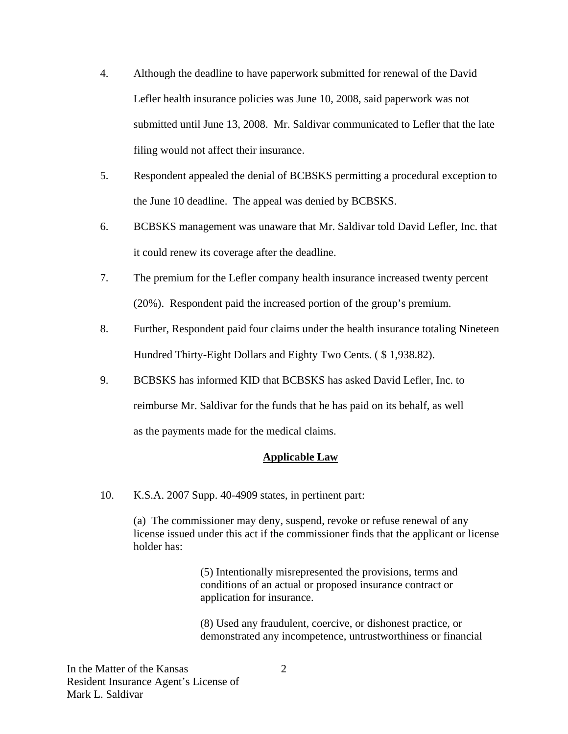- 4. Although the deadline to have paperwork submitted for renewal of the David Lefler health insurance policies was June 10, 2008, said paperwork was not submitted until June 13, 2008. Mr. Saldivar communicated to Lefler that the late filing would not affect their insurance.
- 5. Respondent appealed the denial of BCBSKS permitting a procedural exception to the June 10 deadline. The appeal was denied by BCBSKS.
- 6. BCBSKS management was unaware that Mr. Saldivar told David Lefler, Inc. that it could renew its coverage after the deadline.
- 7. The premium for the Lefler company health insurance increased twenty percent (20%). Respondent paid the increased portion of the group's premium.
- 8. Further, Respondent paid four claims under the health insurance totaling Nineteen Hundred Thirty-Eight Dollars and Eighty Two Cents. ( \$ 1,938.82).
- 9. BCBSKS has informed KID that BCBSKS has asked David Lefler, Inc. to reimburse Mr. Saldivar for the funds that he has paid on its behalf, as well as the payments made for the medical claims.

# **Applicable Law**

10. K.S.A. 2007 Supp. 40-4909 states, in pertinent part:

(a) The commissioner may deny, suspend, revoke or refuse renewal of any license issued under this act if the commissioner finds that the applicant or license holder has:

> (5) Intentionally misrepresented the provisions, terms and conditions of an actual or proposed insurance contract or application for insurance.

(8) Used any fraudulent, coercive, or dishonest practice, or demonstrated any incompetence, untrustworthiness or financial

In the Matter of the Kansas Resident Insurance Agent's License of Mark L. Saldivar

2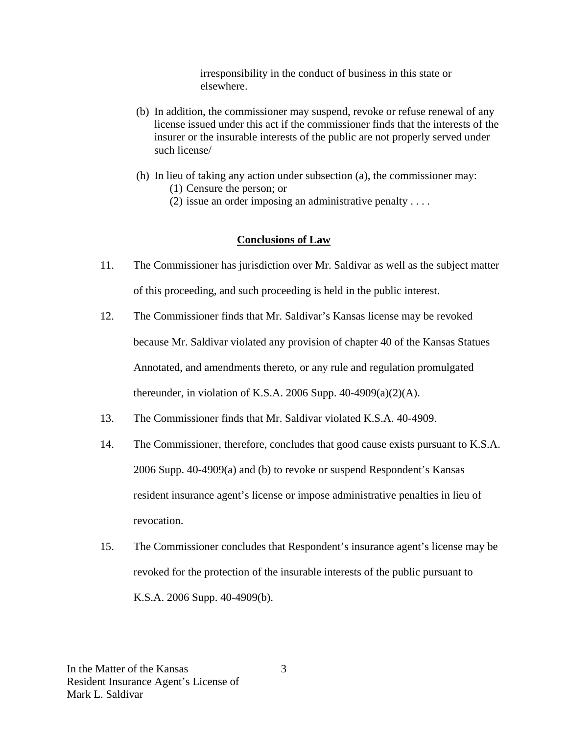irresponsibility in the conduct of business in this state or elsewhere.

- (b) In addition, the commissioner may suspend, revoke or refuse renewal of any license issued under this act if the commissioner finds that the interests of the insurer or the insurable interests of the public are not properly served under such license/
- (h) In lieu of taking any action under subsection (a), the commissioner may: (1) Censure the person; or
	- (2) issue an order imposing an administrative penalty . . . .

### **Conclusions of Law**

- 11. The Commissioner has jurisdiction over Mr. Saldivar as well as the subject matter of this proceeding, and such proceeding is held in the public interest.
- 12. The Commissioner finds that Mr. Saldivar's Kansas license may be revoked because Mr. Saldivar violated any provision of chapter 40 of the Kansas Statues Annotated, and amendments thereto, or any rule and regulation promulgated thereunder, in violation of K.S.A. 2006 Supp.  $40-4909(a)(2)(A)$ .
- 13. The Commissioner finds that Mr. Saldivar violated K.S.A. 40-4909.
- 14. The Commissioner, therefore, concludes that good cause exists pursuant to K.S.A. 2006 Supp. 40-4909(a) and (b) to revoke or suspend Respondent's Kansas resident insurance agent's license or impose administrative penalties in lieu of revocation.
- 15. The Commissioner concludes that Respondent's insurance agent's license may be revoked for the protection of the insurable interests of the public pursuant to K.S.A. 2006 Supp. 40-4909(b).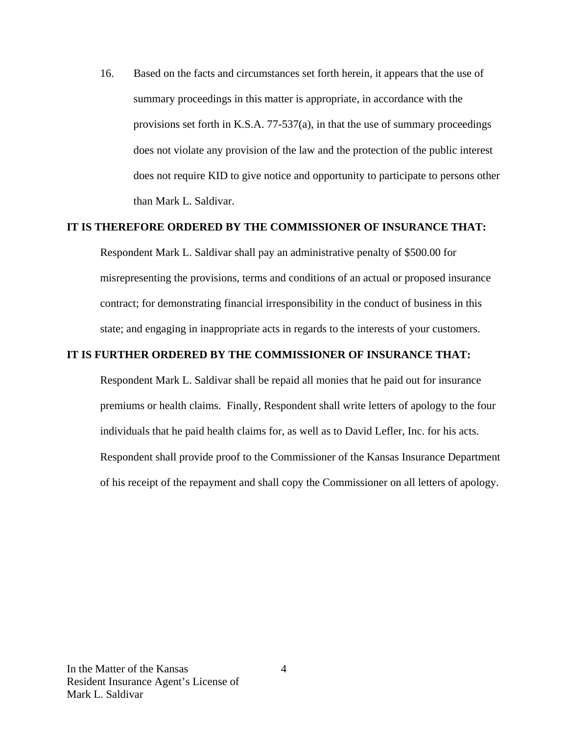16. Based on the facts and circumstances set forth herein, it appears that the use of summary proceedings in this matter is appropriate, in accordance with the provisions set forth in K.S.A. 77-537(a), in that the use of summary proceedings does not violate any provision of the law and the protection of the public interest does not require KID to give notice and opportunity to participate to persons other than Mark L. Saldivar.

### **IT IS THEREFORE ORDERED BY THE COMMISSIONER OF INSURANCE THAT:**

Respondent Mark L. Saldivar shall pay an administrative penalty of \$500.00 for misrepresenting the provisions, terms and conditions of an actual or proposed insurance contract; for demonstrating financial irresponsibility in the conduct of business in this state; and engaging in inappropriate acts in regards to the interests of your customers.

### **IT IS FURTHER ORDERED BY THE COMMISSIONER OF INSURANCE THAT:**

Respondent Mark L. Saldivar shall be repaid all monies that he paid out for insurance premiums or health claims. Finally, Respondent shall write letters of apology to the four individuals that he paid health claims for, as well as to David Lefler, Inc. for his acts. Respondent shall provide proof to the Commissioner of the Kansas Insurance Department of his receipt of the repayment and shall copy the Commissioner on all letters of apology.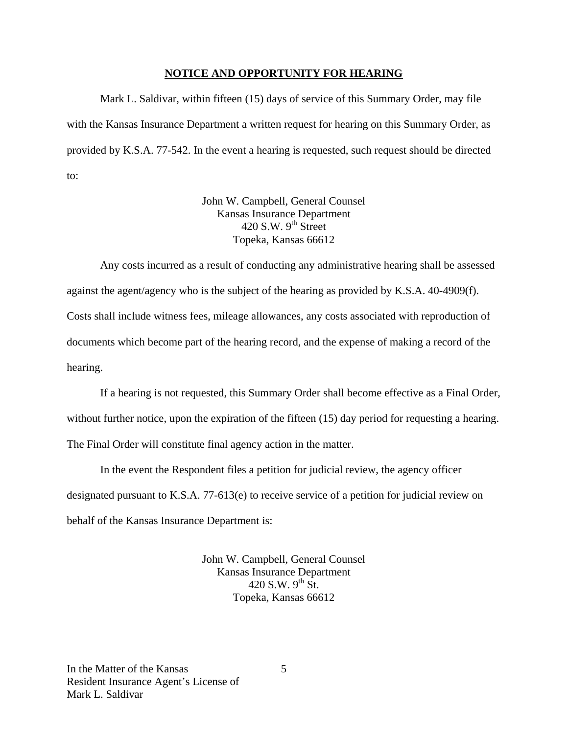#### **NOTICE AND OPPORTUNITY FOR HEARING**

Mark L. Saldivar, within fifteen (15) days of service of this Summary Order, may file with the Kansas Insurance Department a written request for hearing on this Summary Order, as provided by K.S.A. 77-542. In the event a hearing is requested, such request should be directed to:

> John W. Campbell, General Counsel Kansas Insurance Department 420 S.W.  $9<sup>th</sup>$  Street Topeka, Kansas 66612

Any costs incurred as a result of conducting any administrative hearing shall be assessed against the agent/agency who is the subject of the hearing as provided by K.S.A. 40-4909(f). Costs shall include witness fees, mileage allowances, any costs associated with reproduction of documents which become part of the hearing record, and the expense of making a record of the hearing.

If a hearing is not requested, this Summary Order shall become effective as a Final Order, without further notice, upon the expiration of the fifteen (15) day period for requesting a hearing. The Final Order will constitute final agency action in the matter.

In the event the Respondent files a petition for judicial review, the agency officer designated pursuant to K.S.A. 77-613(e) to receive service of a petition for judicial review on behalf of the Kansas Insurance Department is:

> John W. Campbell, General Counsel Kansas Insurance Department 420 S.W.  $9^{th}$  St. Topeka, Kansas 66612

5